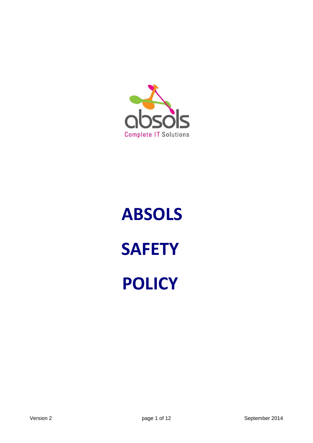

# **ABSOLS SAFETY POLICY**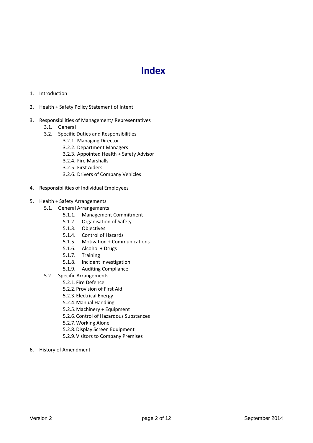### **Index**

- 1. Introduction
- 2. Health + Safety Policy Statement of Intent
- 3. Responsibilities of Management/ Representatives
	- 3.1. General
	- 3.2. Specific Duties and Responsibilities
		- 3.2.1. Managing Director
			- 3.2.2. Department Managers
			- 3.2.3. Appointed Health + Safety Advisor
			- 3.2.4. Fire Marshalls
			- 3.2.5. First Aiders
			- 3.2.6. Drivers of Company Vehicles
- 4. Responsibilities of Individual Employees
- 5. Health + Safety Arrangements
	- 5.1. General Arrangements
		- 5.1.1. Management Commitment
		- 5.1.2. Organisation of Safety
		- 5.1.3. Objectives
		- 5.1.4. Control of Hazards
		- 5.1.5. Motivation + Communications
		- 5.1.6. Alcohol + Drugs
		- 5.1.7. Training
		- 5.1.8. Incident Investigation
		- 5.1.9. Auditing Compliance
		- 5.2. Specific Arrangements
		- 5.2.1.Fire Defence
			- 5.2.2.Provision of First Aid
			- 5.2.3.Electrical Energy
			- 5.2.4.Manual Handling
			- 5.2.5.Machinery + Equipment
			- 5.2.6.Control of Hazardous Substances
			- 5.2.7.Working Alone
			- 5.2.8.Display Screen Equipment
			- 5.2.9.Visitors to Company Premises
- 6. History of Amendment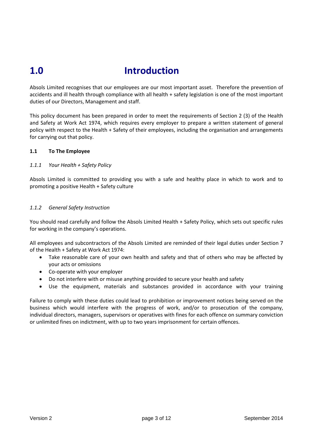## **1.0 Introduction**

Absols Limited recognises that our employees are our most important asset. Therefore the prevention of accidents and ill health through compliance with all health + safety legislation is one of the most important duties of our Directors, Management and staff.

This policy document has been prepared in order to meet the requirements of Section 2 (3) of the Health and Safety at Work Act 1974, which requires every employer to prepare a written statement of general policy with respect to the Health + Safety of their employees, including the organisation and arrangements for carrying out that policy.

#### **1.1 To The Employee**

#### *1.1.1 Your Health + Safety Policy*

Absols Limited is committed to providing you with a safe and healthy place in which to work and to promoting a positive Health + Safety culture

#### *1.1.2 General Safety Instruction*

You should read carefully and follow the Absols Limited Health + Safety Policy, which sets out specific rules for working in the company's operations.

All employees and subcontractors of the Absols Limited are reminded of their legal duties under Section 7 of the Health + Safety at Work Act 1974:

- Take reasonable care of your own health and safety and that of others who may be affected by your acts or omissions
- Co-operate with your employer
- Do not interfere with or misuse anything provided to secure your health and safety
- Use the equipment, materials and substances provided in accordance with your training

Failure to comply with these duties could lead to prohibition or improvement notices being served on the business which would interfere with the progress of work, and/or to prosecution of the company, individual directors, managers, supervisors or operatives with fines for each offence on summary conviction or unlimited fines on indictment, with up to two years imprisonment for certain offences.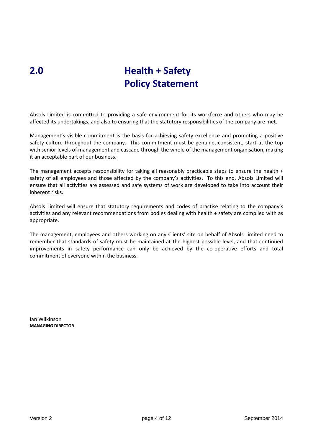## **2.0 Health + Safety Policy Statement**

Absols Limited is committed to providing a safe environment for its workforce and others who may be affected its undertakings, and also to ensuring that the statutory responsibilities of the company are met.

Management's visible commitment is the basis for achieving safety excellence and promoting a positive safety culture throughout the company. This commitment must be genuine, consistent, start at the top with senior levels of management and cascade through the whole of the management organisation, making it an acceptable part of our business.

The management accepts responsibility for taking all reasonably practicable steps to ensure the health  $+$ safety of all employees and those affected by the company's activities. To this end, Absols Limited will ensure that all activities are assessed and safe systems of work are developed to take into account their inherent risks.

Absols Limited will ensure that statutory requirements and codes of practise relating to the company's activities and any relevant recommendations from bodies dealing with health + safety are complied with as appropriate.

The management, employees and others working on any Clients' site on behalf of Absols Limited need to remember that standards of safety must be maintained at the highest possible level, and that continued improvements in safety performance can only be achieved by the co-operative efforts and total commitment of everyone within the business.

Ian Wilkinson **MANAGING DIRECTOR**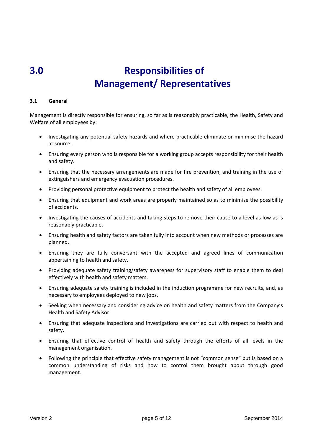## **3.0 Responsibilities of Management/ Representatives**

#### **3.1 General**

Management is directly responsible for ensuring, so far as is reasonably practicable, the Health, Safety and Welfare of all employees by:

- Investigating any potential safety hazards and where practicable eliminate or minimise the hazard at source.
- Ensuring every person who is responsible for a working group accepts responsibility for their health and safety.
- Ensuring that the necessary arrangements are made for fire prevention, and training in the use of extinguishers and emergency evacuation procedures.
- Providing personal protective equipment to protect the health and safety of all employees.
- Ensuring that equipment and work areas are properly maintained so as to minimise the possibility of accidents.
- Investigating the causes of accidents and taking steps to remove their cause to a level as low as is reasonably practicable.
- Ensuring health and safety factors are taken fully into account when new methods or processes are planned.
- Ensuring they are fully conversant with the accepted and agreed lines of communication appertaining to health and safety.
- Providing adequate safety training/safety awareness for supervisory staff to enable them to deal effectively with health and safety matters.
- Ensuring adequate safety training is included in the induction programme for new recruits, and, as necessary to employees deployed to new jobs.
- Seeking when necessary and considering advice on health and safety matters from the Company's Health and Safety Advisor.
- Ensuring that adequate inspections and investigations are carried out with respect to health and safety.
- Ensuring that effective control of health and safety through the efforts of all levels in the management organisation.
- Following the principle that effective safety management is not "common sense" but is based on a common understanding of risks and how to control them brought about through good management.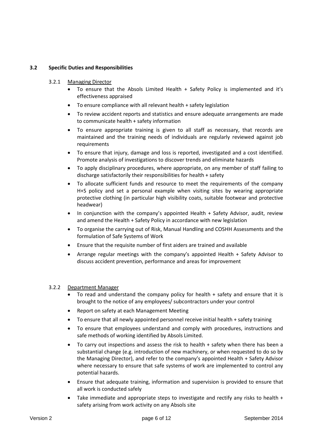#### **3.2 Specific Duties and Responsibilities**

#### 3.2.1 Managing Director

- To ensure that the Absols Limited Health + Safety Policy is implemented and it's effectiveness appraised
- To ensure compliance with all relevant health + safety legislation
- To review accident reports and statistics and ensure adequate arrangements are made to communicate health + safety information
- To ensure appropriate training is given to all staff as necessary, that records are maintained and the training needs of individuals are regularly reviewed against job requirements
- To ensure that injury, damage and loss is reported, investigated and a cost identified. Promote analysis of investigations to discover trends and eliminate hazards
- To apply disciplinary procedures, where appropriate, on any member of staff failing to discharge satisfactorily their responsibilities for health + safety
- To allocate sufficient funds and resource to meet the requirements of the company H+S policy and set a personal example when visiting sites by wearing appropriate protective clothing (in particular high visibility coats, suitable footwear and protective headwear)
- In conjunction with the company's appointed Health + Safety Advisor, audit, review and amend the Health + Safety Policy in accordance with new legislation
- To organise the carrying out of Risk, Manual Handling and COSHH Assessments and the formulation of Safe Systems of Work
- Ensure that the requisite number of first aiders are trained and available
- Arrange regular meetings with the company's appointed Health + Safety Advisor to discuss accident prevention, performance and areas for improvement

#### 3.2.2 Department Manager

- To read and understand the company policy for health + safety and ensure that it is brought to the notice of any employees/ subcontractors under your control
- Report on safety at each Management Meeting
- To ensure that all newly appointed personnel receive initial health + safety training
- To ensure that employees understand and comply with procedures, instructions and safe methods of working identified by Absols Limited.
- To carry out inspections and assess the risk to health + safety when there has been a substantial change (e.g. introduction of new machinery, or when requested to do so by the Managing Director), and refer to the company's appointed Health + Safety Advisor where necessary to ensure that safe systems of work are implemented to control any potential hazards.
- Ensure that adequate training, information and supervision is provided to ensure that all work is conducted safely
- Take immediate and appropriate steps to investigate and rectify any risks to health + safety arising from work activity on any Absols site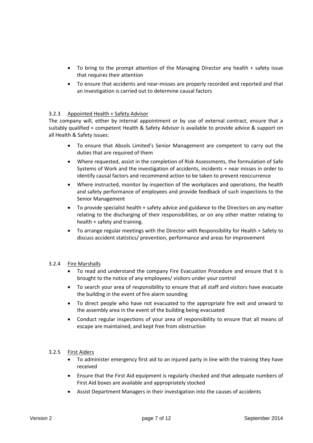- To bring to the prompt attention of the Managing Director any health + safety issue that requires their attention
- To ensure that accidents and near-misses are properly recorded and reported and that an investigation is carried out to determine causal factors

#### 3.2.3 Appointed Health + Safety Advisor

The company will, either by internal appointment or by use of external contract, ensure that a suitably qualified + competent Health & Safety Advisor is available to provide advice & support on all Health & Safety issues:

- To ensure that Absols Limited's Senior Management are competent to carry out the duties that are required of them
- Where requested, assist in the completion of Risk Assessments, the formulation of Safe Systems of Work and the investigation of accidents, incidents + near misses in order to identify causal factors and recommend action to be taken to prevent reoccurrence
- Where instructed, monitor by inspection of the workplaces and operations, the health and safety performance of employees and provide feedback of such inspections to the Senior Management
- To provide specialist health + safety advice and guidance to the Directors on any matter relating to the discharging of their responsibilities, or on any other matter relating to health + safety and training.
- To arrange regular meetings with the Director with Responsibility for Health + Safety to discuss accident statistics/ prevention, performance and areas for improvement

#### 3.2.4 Fire Marshalls

- To read and understand the company Fire Evacuation Procedure and ensure that it is brought to the notice of any employees/ visitors under your control
- To search your area of responsibility to ensure that all staff and visitors have evacuate the building in the event of fire alarm sounding
- To direct people who have not evacuated to the appropriate fire exit and onward to the assembly area in the event of the building being evacuated
- Conduct regular inspections of your area of responsibility to ensure that all means of escape are maintained, and kept free from obstruction

#### 3.2.5 First Aiders

- To administer emergency first aid to an injured party in line with the training they have received
- Ensure that the First Aid equipment is regularly checked and that adequate numbers of First Aid boxes are available and appropriately stocked
- Assist Department Managers in their investigation into the causes of accidents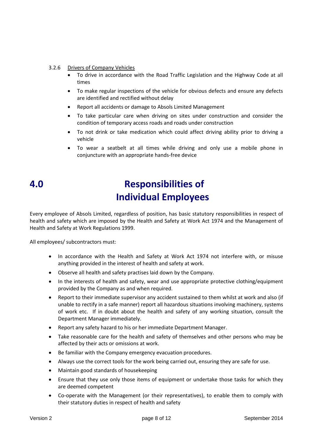#### 3.2.6 Drivers of Company Vehicles

- To drive in accordance with the Road Traffic Legislation and the Highway Code at all times
- To make regular inspections of the vehicle for obvious defects and ensure any defects are identified and rectified without delay
- Report all accidents or damage to Absols Limited Management
- To take particular care when driving on sites under construction and consider the condition of temporary access roads and roads under construction
- To not drink or take medication which could affect driving ability prior to driving a vehicle
- To wear a seatbelt at all times while driving and only use a mobile phone in conjuncture with an appropriate hands-free device
- 

## **4.0 Responsibilities of Individual Employees**

Every employee of Absols Limited, regardless of position, has basic statutory responsibilities in respect of health and safety which are imposed by the Health and Safety at Work Act 1974 and the Management of Health and Safety at Work Regulations 1999.

All employees/ subcontractors must:

- In accordance with the Health and Safety at Work Act 1974 not interfere with, or misuse anything provided in the interest of health and safety at work.
- Observe all health and safety practises laid down by the Company.
- In the interests of health and safety, wear and use appropriate protective clothing/equipment provided by the Company as and when required.
- Report to their immediate supervisor any accident sustained to them whilst at work and also (if unable to rectify in a safe manner) report all hazardous situations involving machinery, systems of work etc. If in doubt about the health and safety of any working situation, consult the Department Manager immediately.
- Report any safety hazard to his or her immediate Department Manager.
- Take reasonable care for the health and safety of themselves and other persons who may be affected by their acts or omissions at work.
- Be familiar with the Company emergency evacuation procedures.
- Always use the correct tools for the work being carried out, ensuring they are safe for use.
- Maintain good standards of housekeeping
- Ensure that they use only those items of equipment or undertake those tasks for which they are deemed competent
- Co-operate with the Management (or their representatives), to enable them to comply with their statutory duties in respect of health and safety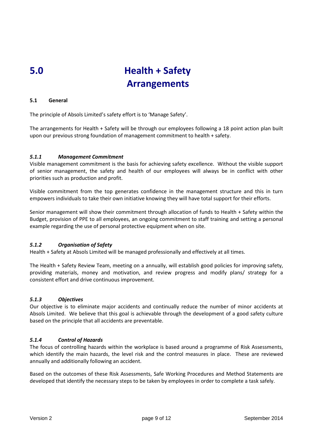## **5.0 Health + Safety Arrangements**

#### **5.1 General**

The principle of Absols Limited's safety effort is to 'Manage Safety'.

The arrangements for Health + Safety will be through our employees following a 18 point action plan built upon our previous strong foundation of management commitment to health + safety.

#### *5.1.1 Management Commitment*

Visible management commitment is the basis for achieving safety excellence. Without the visible support of senior management, the safety and health of our employees will always be in conflict with other priorities such as production and profit.

Visible commitment from the top generates confidence in the management structure and this in turn empowers individuals to take their own initiative knowing they will have total support for their efforts.

Senior management will show their commitment through allocation of funds to Health + Safety within the Budget, provision of PPE to all employees, an ongoing commitment to staff training and setting a personal example regarding the use of personal protective equipment when on site.

#### *5.1.2 Organisation of Safety*

Health + Safety at Absols Limited will be managed professionally and effectively at all times.

The Health + Safety Review Team, meeting on a annually, will establish good policies for improving safety, providing materials, money and motivation, and review progress and modify plans/ strategy for a consistent effort and drive continuous improvement.

#### *5.1.3 Objectives*

Our objective is to eliminate major accidents and continually reduce the number of minor accidents at Absols Limited. We believe that this goal is achievable through the development of a good safety culture based on the principle that all accidents are preventable.

#### *5.1.4 Control of Hazards*

The focus of controlling hazards within the workplace is based around a programme of Risk Assessments, which identify the main hazards, the level risk and the control measures in place. These are reviewed annually and additionally following an accident.

Based on the outcomes of these Risk Assessments, Safe Working Procedures and Method Statements are developed that identify the necessary steps to be taken by employees in order to complete a task safely.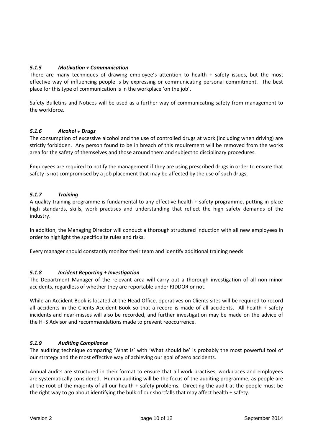#### *5.1.5 Motivation + Communication*

There are many techniques of drawing employee's attention to health + safety issues, but the most effective way of influencing people is by expressing or communicating personal commitment. The best place for this type of communication is in the workplace 'on the job'.

Safety Bulletins and Notices will be used as a further way of communicating safety from management to the workforce.

#### *5.1.6 Alcohol + Drugs*

The consumption of excessive alcohol and the use of controlled drugs at work (including when driving) are strictly forbidden. Any person found to be in breach of this requirement will be removed from the works area for the safety of themselves and those around them and subject to disciplinary procedures.

Employees are required to notify the management if they are using prescribed drugs in order to ensure that safety is not compromised by a job placement that may be affected by the use of such drugs.

#### *5.1.7 Training*

A quality training programme is fundamental to any effective health + safety programme, putting in place high standards, skills, work practises and understanding that reflect the high safety demands of the industry.

In addition, the Managing Director will conduct a thorough structured induction with all new employees in order to highlight the specific site rules and risks.

Every manager should constantly monitor their team and identify additional training needs

#### *5.1.8 Incident Reporting + Investigation*

The Department Manager of the relevant area will carry out a thorough investigation of all non-minor accidents, regardless of whether they are reportable under RIDDOR or not.

While an Accident Book is located at the Head Office, operatives on Clients sites will be required to record all accidents in the Clients Accident Book so that a record is made of all accidents. All health + safety incidents and near-misses will also be recorded, and further investigation may be made on the advice of the H+S Advisor and recommendations made to prevent reoccurrence.

#### *5.1.9 Auditing Compliance*

The auditing technique comparing 'What is' with 'What should be' is probably the most powerful tool of our strategy and the most effective way of achieving our goal of zero accidents.

Annual audits are structured in their format to ensure that all work practises, workplaces and employees are systematically considered. Human auditing will be the focus of the auditing programme, as people are at the root of the majority of all our health + safety problems. Directing the audit at the people must be the right way to go about identifying the bulk of our shortfalls that may affect health + safety.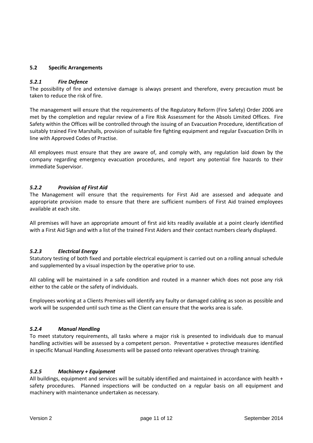#### **5.2 Specific Arrangements**

#### *5.2.1 Fire Defence*

The possibility of fire and extensive damage is always present and therefore, every precaution must be taken to reduce the risk of fire.

The management will ensure that the requirements of the Regulatory Reform (Fire Safety) Order 2006 are met by the completion and regular review of a Fire Risk Assessment for the Absols Limited Offices. Fire Safety within the Offices will be controlled through the issuing of an Evacuation Procedure, identification of suitably trained Fire Marshalls, provision of suitable fire fighting equipment and regular Evacuation Drills in line with Approved Codes of Practise.

All employees must ensure that they are aware of, and comply with, any regulation laid down by the company regarding emergency evacuation procedures, and report any potential fire hazards to their immediate Supervisor.

#### *5.2.2 Provision of First Aid*

The Management will ensure that the requirements for First Aid are assessed and adequate and appropriate provision made to ensure that there are sufficient numbers of First Aid trained employees available at each site.

All premises will have an appropriate amount of first aid kits readily available at a point clearly identified with a First Aid Sign and with a list of the trained First Aiders and their contact numbers clearly displayed.

#### *5.2.3 Electrical Energy*

Statutory testing of both fixed and portable electrical equipment is carried out on a rolling annual schedule and supplemented by a visual inspection by the operative prior to use.

All cabling will be maintained in a safe condition and routed in a manner which does not pose any risk either to the cable or the safety of individuals.

Employees working at a Clients Premises will identify any faulty or damaged cabling as soon as possible and work will be suspended until such time as the Client can ensure that the works area is safe.

#### *5.2.4 Manual Handling*

To meet statutory requirements, all tasks where a major risk is presented to individuals due to manual handling activities will be assessed by a competent person. Preventative + protective measures identified in specific Manual Handling Assessments will be passed onto relevant operatives through training.

#### *5.2.5 Machinery + Equipment*

All buildings, equipment and services will be suitably identified and maintained in accordance with health + safety procedures. Planned inspections will be conducted on a regular basis on all equipment and machinery with maintenance undertaken as necessary.